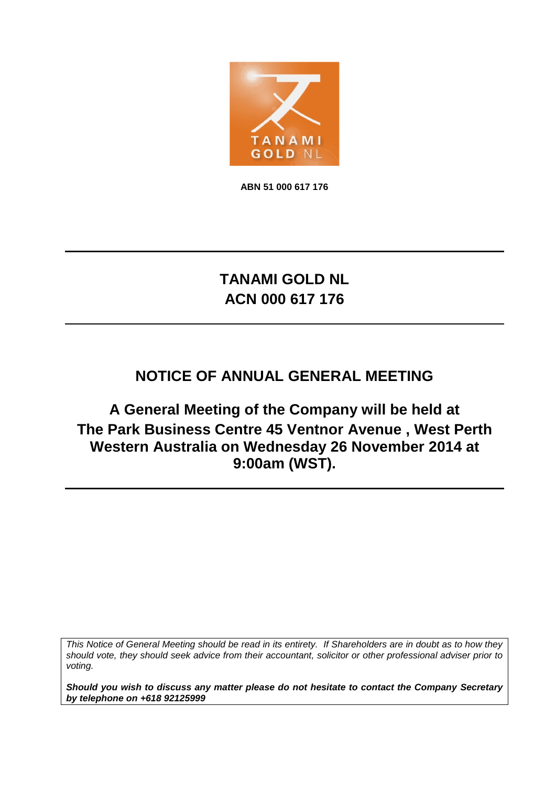

**ABN 51 000 617 176**

# **TANAMI GOLD NL ACN 000 617 176**

# **NOTICE OF ANNUAL GENERAL MEETING**

**A General Meeting of the Company will be held at The Park Business Centre 45 Ventnor Avenue , West Perth Western Australia on Wednesday 26 November 2014 at 9:00am (WST).**

*This Notice of General Meeting should be read in its entirety. If Shareholders are in doubt as to how they should vote, they should seek advice from their accountant, solicitor or other professional adviser prior to voting.*

*Should you wish to discuss any matter please do not hesitate to contact the Company Secretary by telephone on +618 92125999*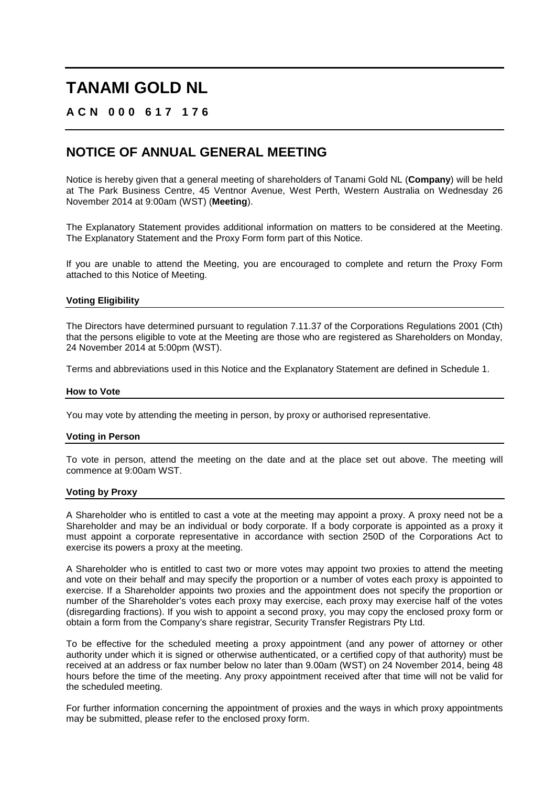## **ACN 000 617 176**

## **NOTICE OF ANNUAL GENERAL MEETING**

Notice is hereby given that a general meeting of shareholders of Tanami Gold NL (**Company**) will be held at The Park Business Centre, 45 Ventnor Avenue, West Perth, Western Australia on Wednesday 26 November 2014 at 9:00am (WST) (**Meeting**).

The Explanatory Statement provides additional information on matters to be considered at the Meeting. The Explanatory Statement and the Proxy Form form part of this Notice.

If you are unable to attend the Meeting, you are encouraged to complete and return the Proxy Form attached to this Notice of Meeting.

### **Voting Eligibility**

The Directors have determined pursuant to regulation 7.11.37 of the Corporations Regulations 2001 (Cth) that the persons eligible to vote at the Meeting are those who are registered as Shareholders on Monday, 24 November 2014 at 5:00pm (WST).

Terms and abbreviations used in this Notice and the Explanatory Statement are defined in Schedule 1.

#### **How to Vote**

You may vote by attending the meeting in person, by proxy or authorised representative.

### **Voting in Person**

To vote in person, attend the meeting on the date and at the place set out above. The meeting will commence at 9:00am WST.

### **Voting by Proxy**

A Shareholder who is entitled to cast a vote at the meeting may appoint a proxy. A proxy need not be a Shareholder and may be an individual or body corporate. If a body corporate is appointed as a proxy it must appoint a corporate representative in accordance with section 250D of the Corporations Act to exercise its powers a proxy at the meeting.

A Shareholder who is entitled to cast two or more votes may appoint two proxies to attend the meeting and vote on their behalf and may specify the proportion or a number of votes each proxy is appointed to exercise. If a Shareholder appoints two proxies and the appointment does not specify the proportion or number of the Shareholder's votes each proxy may exercise, each proxy may exercise half of the votes (disregarding fractions). If you wish to appoint a second proxy, you may copy the enclosed proxy form or obtain a form from the Company's share registrar, Security Transfer Registrars Pty Ltd.

To be effective for the scheduled meeting a proxy appointment (and any power of attorney or other authority under which it is signed or otherwise authenticated, or a certified copy of that authority) must be received at an address or fax number below no later than 9.00am (WST) on 24 November 2014, being 48 hours before the time of the meeting. Any proxy appointment received after that time will not be valid for the scheduled meeting.

For further information concerning the appointment of proxies and the ways in which proxy appointments may be submitted, please refer to the enclosed proxy form.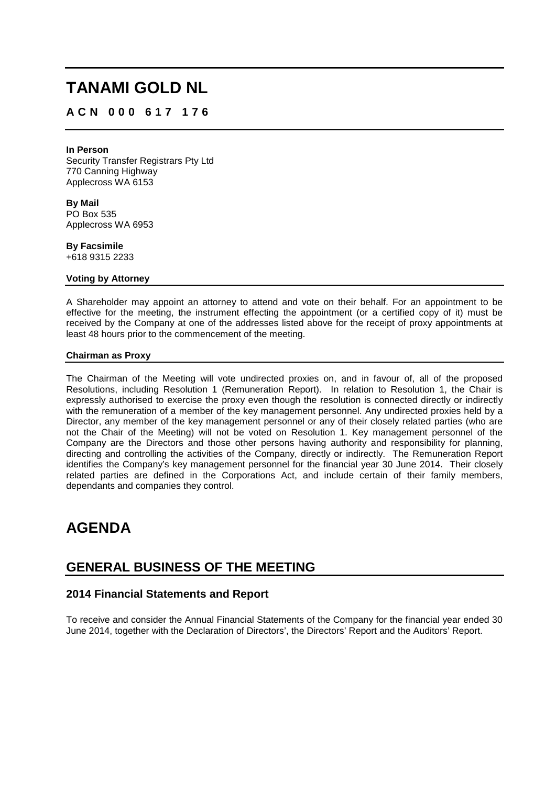## **ACN 000 617 176**

#### **In Person**

Security Transfer Registrars Pty Ltd 770 Canning Highway Applecross WA 6153

**By Mail** PO Box 535 Applecross WA 6953

**By Facsimile** +618 9315 2233

### **Voting by Attorney**

A Shareholder may appoint an attorney to attend and vote on their behalf. For an appointment to be effective for the meeting, the instrument effecting the appointment (or a certified copy of it) must be received by the Company at one of the addresses listed above for the receipt of proxy appointments at least 48 hours prior to the commencement of the meeting.

### **Chairman as Proxy**

The Chairman of the Meeting will vote undirected proxies on, and in favour of, all of the proposed Resolutions, including Resolution 1 (Remuneration Report). In relation to Resolution 1, the Chair is expressly authorised to exercise the proxy even though the resolution is connected directly or indirectly with the remuneration of a member of the key management personnel. Any undirected proxies held by a Director, any member of the key management personnel or any of their closely related parties (who are not the Chair of the Meeting) will not be voted on Resolution 1. Key management personnel of the Company are the Directors and those other persons having authority and responsibility for planning, directing and controlling the activities of the Company, directly or indirectly. The Remuneration Report identifies the Company's key management personnel for the financial year 30 June 2014. Their closely related parties are defined in the Corporations Act, and include certain of their family members, dependants and companies they control.

## **AGENDA**

## **GENERAL BUSINESS OF THE MEETING**

## **2014 Financial Statements and Report**

To receive and consider the Annual Financial Statements of the Company for the financial year ended 30 June 2014, together with the Declaration of Directors', the Directors' Report and the Auditors' Report.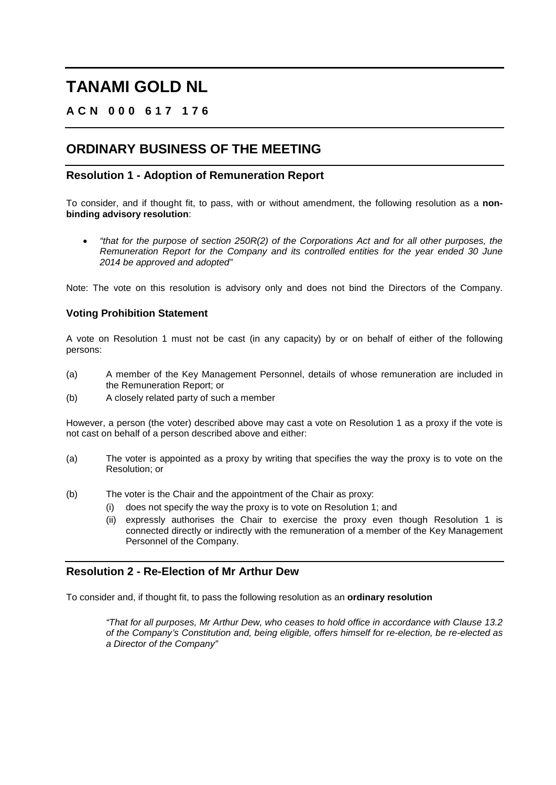## **ACN 000 617 176**

## **ORDINARY BUSINESS OF THE MEETING**

## **Resolution 1 - Adoption of Remuneration Report**

To consider, and if thought fit, to pass, with or without amendment, the following resolution as a **nonbinding advisory resolution**:

• *"that for the purpose of section 250R(2) of the Corporations Act and for all other purposes, the Remuneration Report for the Company and its controlled entities for the year ended 30 June 2014 be approved and adopted"*

Note: The vote on this resolution is advisory only and does not bind the Directors of the Company.

## **Voting Prohibition Statement**

A vote on Resolution 1 must not be cast (in any capacity) by or on behalf of either of the following persons:

- (a) A member of the Key Management Personnel, details of whose remuneration are included in the Remuneration Report; or
- (b) A closely related party of such a member

However, a person (the voter) described above may cast a vote on Resolution 1 as a proxy if the vote is not cast on behalf of a person described above and either:

- (a) The voter is appointed as a proxy by writing that specifies the way the proxy is to vote on the Resolution; or
- (b) The voter is the Chair and the appointment of the Chair as proxy:
	- (i) does not specify the way the proxy is to vote on Resolution 1; and
	- (ii) expressly authorises the Chair to exercise the proxy even though Resolution 1 is connected directly or indirectly with the remuneration of a member of the Key Management Personnel of the Company.

## **Resolution 2 - Re-Election of Mr Arthur Dew**

To consider and, if thought fit, to pass the following resolution as an **ordinary resolution**

*"That for all purposes, Mr Arthur Dew, who ceases to hold office in accordance with Clause 13.2 of the Company's Constitution and, being eligible, offers himself for re-election, be re-elected as a Director of the Company"*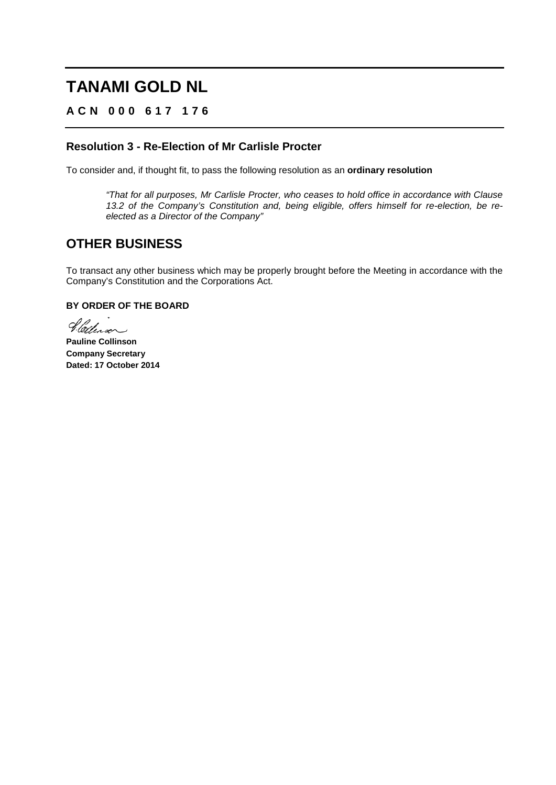## **ACN 000 617 176**

## **Resolution 3 - Re-Election of Mr Carlisle Procter**

To consider and, if thought fit, to pass the following resolution as an **ordinary resolution**

*"That for all purposes, Mr Carlisle Procter, who ceases to hold office in accordance with Clause 13.2 of the Company's Constitution and, being eligible, offers himself for re-election, be reelected as a Director of the Company"*

## **OTHER BUSINESS**

To transact any other business which may be properly brought before the Meeting in accordance with the Company's Constitution and the Corporations Act.

## **BY ORDER OF THE BOARD**

Sletterson

**Pauline Collinson Company Secretary Dated: 17 October 2014**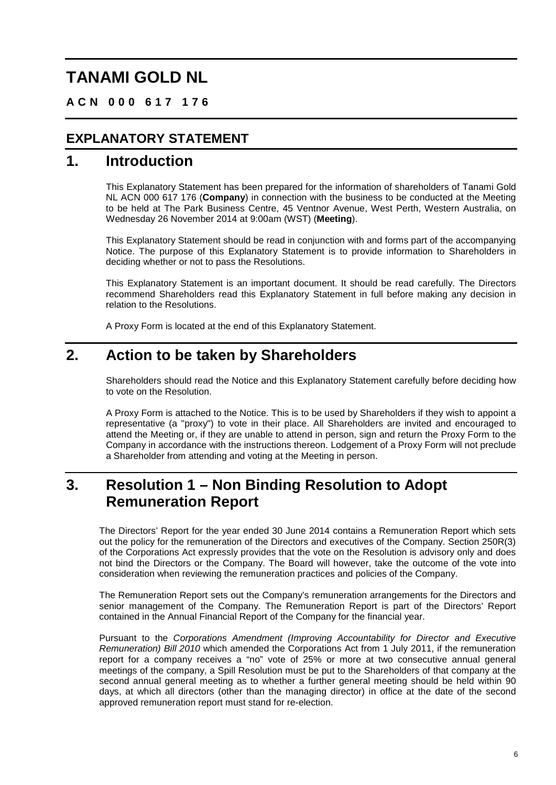**ACN 000 617 176**

## **EXPLANATORY STATEMENT**

## **1. Introduction**

This Explanatory Statement has been prepared for the information of shareholders of Tanami Gold NL ACN 000 617 176 (**Company**) in connection with the business to be conducted at the Meeting to be held at The Park Business Centre, 45 Ventnor Avenue, West Perth, Western Australia, on Wednesday 26 November 2014 at 9:00am (WST) (**Meeting**).

This Explanatory Statement should be read in conjunction with and forms part of the accompanying Notice. The purpose of this Explanatory Statement is to provide information to Shareholders in deciding whether or not to pass the Resolutions.

This Explanatory Statement is an important document. It should be read carefully. The Directors recommend Shareholders read this Explanatory Statement in full before making any decision in relation to the Resolutions.

A Proxy Form is located at the end of this Explanatory Statement.

## **2. Action to be taken by Shareholders**

Shareholders should read the Notice and this Explanatory Statement carefully before deciding how to vote on the Resolution.

A Proxy Form is attached to the Notice. This is to be used by Shareholders if they wish to appoint a representative (a "proxy") to vote in their place. All Shareholders are invited and encouraged to attend the Meeting or, if they are unable to attend in person, sign and return the Proxy Form to the Company in accordance with the instructions thereon. Lodgement of a Proxy Form will not preclude a Shareholder from attending and voting at the Meeting in person.

## **3. Resolution 1 – Non Binding Resolution to Adopt Remuneration Report**

The Directors' Report for the year ended 30 June 2014 contains a Remuneration Report which sets out the policy for the remuneration of the Directors and executives of the Company. Section 250R(3) of the Corporations Act expressly provides that the vote on the Resolution is advisory only and does not bind the Directors or the Company. The Board will however, take the outcome of the vote into consideration when reviewing the remuneration practices and policies of the Company.

The Remuneration Report sets out the Company's remuneration arrangements for the Directors and senior management of the Company. The Remuneration Report is part of the Directors' Report contained in the Annual Financial Report of the Company for the financial year.

Pursuant to the *Corporations Amendment (Improving Accountability for Director and Executive Remuneration) Bill 2010* which amended the Corporations Act from 1 July 2011, if the remuneration report for a company receives a "no" vote of 25% or more at two consecutive annual general meetings of the company, a Spill Resolution must be put to the Shareholders of that company at the second annual general meeting as to whether a further general meeting should be held within 90 days, at which all directors (other than the managing director) in office at the date of the second approved remuneration report must stand for re-election.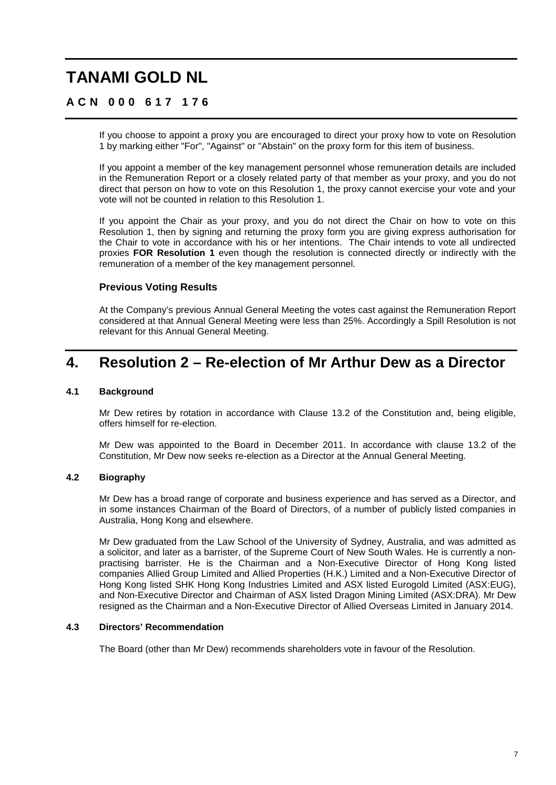## **ACN 000 617 176**

If you choose to appoint a proxy you are encouraged to direct your proxy how to vote on Resolution 1 by marking either "For", "Against" or "Abstain" on the proxy form for this item of business.

If you appoint a member of the key management personnel whose remuneration details are included in the Remuneration Report or a closely related party of that member as your proxy, and you do not direct that person on how to vote on this Resolution 1, the proxy cannot exercise your vote and your vote will not be counted in relation to this Resolution 1.

If you appoint the Chair as your proxy, and you do not direct the Chair on how to vote on this Resolution 1, then by signing and returning the proxy form you are giving express authorisation for the Chair to vote in accordance with his or her intentions. The Chair intends to vote all undirected proxies **FOR Resolution 1** even though the resolution is connected directly or indirectly with the remuneration of a member of the key management personnel.

## **Previous Voting Results**

At the Company's previous Annual General Meeting the votes cast against the Remuneration Report considered at that Annual General Meeting were less than 25%. Accordingly a Spill Resolution is not relevant for this Annual General Meeting.

## **4. Resolution 2 – Re-election of Mr Arthur Dew as a Director**

### **4.1 Background**

Mr Dew retires by rotation in accordance with Clause 13.2 of the Constitution and, being eligible, offers himself for re-election.

Mr Dew was appointed to the Board in December 2011. In accordance with clause 13.2 of the Constitution, Mr Dew now seeks re-election as a Director at the Annual General Meeting.

### **4.2 Biography**

Mr Dew has a broad range of corporate and business experience and has served as a Director, and in some instances Chairman of the Board of Directors, of a number of publicly listed companies in Australia, Hong Kong and elsewhere.

Mr Dew graduated from the Law School of the University of Sydney, Australia, and was admitted as a solicitor, and later as a barrister, of the Supreme Court of New South Wales. He is currently a nonpractising barrister. He is the Chairman and a Non-Executive Director of Hong Kong listed companies Allied Group Limited and Allied Properties (H.K.) Limited and a Non-Executive Director of Hong Kong listed SHK Hong Kong Industries Limited and ASX listed Eurogold Limited (ASX:EUG), and Non-Executive Director and Chairman of ASX listed Dragon Mining Limited (ASX:DRA). Mr Dew resigned as the Chairman and a Non-Executive Director of Allied Overseas Limited in January 2014.

## **4.3 Directors' Recommendation**

The Board (other than Mr Dew) recommends shareholders vote in favour of the Resolution.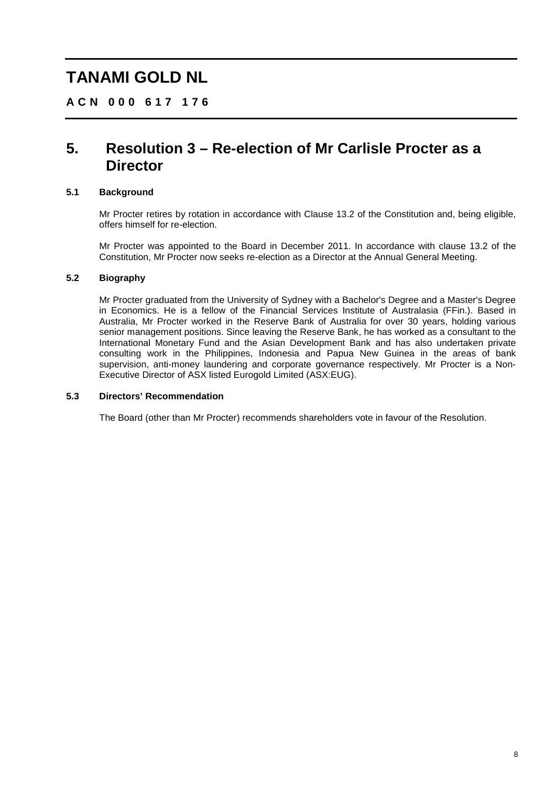**ACN 000 617 176**

## **5. Resolution 3 – Re-election of Mr Carlisle Procter as a Director**

## **5.1 Background**

Mr Procter retires by rotation in accordance with Clause 13.2 of the Constitution and, being eligible, offers himself for re-election.

Mr Procter was appointed to the Board in December 2011. In accordance with clause 13.2 of the Constitution, Mr Procter now seeks re-election as a Director at the Annual General Meeting.

### **5.2 Biography**

Mr Procter graduated from the University of Sydney with a Bachelor's Degree and a Master's Degree in Economics. He is a fellow of the Financial Services Institute of Australasia (FFin.). Based in Australia, Mr Procter worked in the Reserve Bank of Australia for over 30 years, holding various senior management positions. Since leaving the Reserve Bank, he has worked as a consultant to the International Monetary Fund and the Asian Development Bank and has also undertaken private consulting work in the Philippines, Indonesia and Papua New Guinea in the areas of bank supervision, anti-money laundering and corporate governance respectively. Mr Procter is a Non-Executive Director of ASX listed Eurogold Limited (ASX:EUG).

### **5.3 Directors' Recommendation**

The Board (other than Mr Procter) recommends shareholders vote in favour of the Resolution.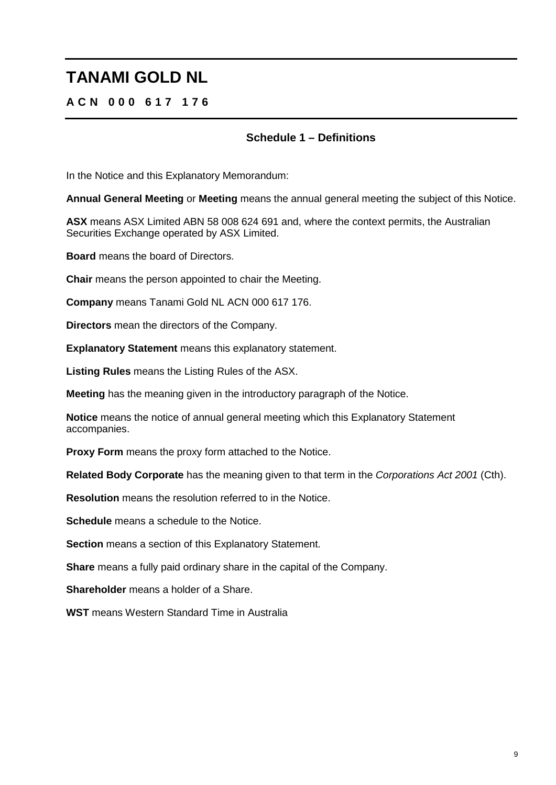## **ACN 000 617 176**

## **Schedule 1 – Definitions**

In the Notice and this Explanatory Memorandum:

**Annual General Meeting** or **Meeting** means the annual general meeting the subject of this Notice.

**ASX** means ASX Limited ABN 58 008 624 691 and, where the context permits, the Australian Securities Exchange operated by ASX Limited.

**Board** means the board of Directors.

**Chair** means the person appointed to chair the Meeting.

**Company** means Tanami Gold NL ACN 000 617 176.

**Directors** mean the directors of the Company.

**Explanatory Statement** means this explanatory statement.

**Listing Rules** means the Listing Rules of the ASX.

**Meeting** has the meaning given in the introductory paragraph of the Notice.

**Notice** means the notice of annual general meeting which this Explanatory Statement accompanies.

**Proxy Form** means the proxy form attached to the Notice.

**Related Body Corporate** has the meaning given to that term in the *Corporations Act 2001* (Cth).

**Resolution** means the resolution referred to in the Notice.

**Schedule** means a schedule to the Notice.

**Section** means a section of this Explanatory Statement.

**Share** means a fully paid ordinary share in the capital of the Company.

**Shareholder** means a holder of a Share.

**WST** means Western Standard Time in Australia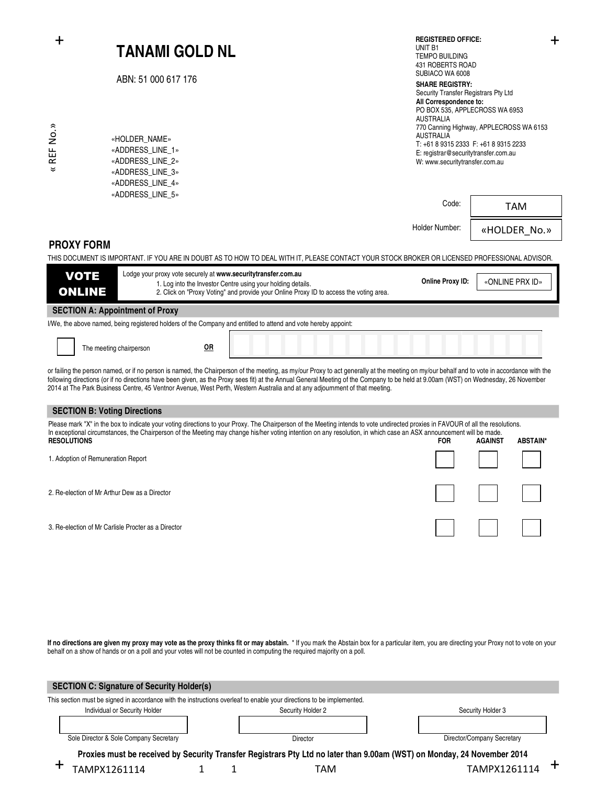|                                                                                                                | <b>TANAMI GOLD NL</b><br>ABN: 51 000 617 176<br>«HOLDER_NAME»<br>«ADDRESS_LINE_1»<br>«ADDRESS_LINE_2»<br>«ADDRESS_LINE_3»<br>«ADDRESS_LINE_4»<br>«ADDRESS_LINE_5» |                                                                                                                                                                                                                                                                                                                                                                                                                                                                                                                 | <b>REGISTERED OFFICE:</b><br>┿<br>UNIT B1<br><b>TEMPO BUILDING</b><br>431 ROBERTS ROAD<br>SUBIACO WA 6008<br><b>SHARE REGISTRY:</b><br>Security Transfer Registrars Pty Ltd<br>All Correspondence to:<br>PO BOX 535, APPLECROSS WA 6953<br><b>AUSTRALIA</b><br>770 Canning Highway, APPLECROSS WA 6153<br><b>AUSTRALIA</b><br>T: +61 8 9315 2333 F: +61 8 9315 2233<br>E: registrar@securitytransfer.com.au<br>W: www.securitytransfer.com.au |                 |                 |  |  |  |  |
|----------------------------------------------------------------------------------------------------------------|-------------------------------------------------------------------------------------------------------------------------------------------------------------------|-----------------------------------------------------------------------------------------------------------------------------------------------------------------------------------------------------------------------------------------------------------------------------------------------------------------------------------------------------------------------------------------------------------------------------------------------------------------------------------------------------------------|-----------------------------------------------------------------------------------------------------------------------------------------------------------------------------------------------------------------------------------------------------------------------------------------------------------------------------------------------------------------------------------------------------------------------------------------------|-----------------|-----------------|--|--|--|--|
| « REF No.»                                                                                                     |                                                                                                                                                                   |                                                                                                                                                                                                                                                                                                                                                                                                                                                                                                                 |                                                                                                                                                                                                                                                                                                                                                                                                                                               |                 |                 |  |  |  |  |
|                                                                                                                |                                                                                                                                                                   |                                                                                                                                                                                                                                                                                                                                                                                                                                                                                                                 | Code:                                                                                                                                                                                                                                                                                                                                                                                                                                         | <b>TAM</b>      |                 |  |  |  |  |
|                                                                                                                |                                                                                                                                                                   |                                                                                                                                                                                                                                                                                                                                                                                                                                                                                                                 | Holder Number:                                                                                                                                                                                                                                                                                                                                                                                                                                | «HOLDER No.»    |                 |  |  |  |  |
|                                                                                                                | <b>PROXY FORM</b>                                                                                                                                                 | THIS DOCUMENT IS IMPORTANT. IF YOU ARE IN DOUBT AS TO HOW TO DEAL WITH IT, PLEASE CONTACT YOUR STOCK BROKER OR LICENSED PROFESSIONAL ADVISOR.                                                                                                                                                                                                                                                                                                                                                                   |                                                                                                                                                                                                                                                                                                                                                                                                                                               |                 |                 |  |  |  |  |
|                                                                                                                | Lodge your proxy vote securely at www.securitytransfer.com.au<br><b>VOTE</b>                                                                                      |                                                                                                                                                                                                                                                                                                                                                                                                                                                                                                                 |                                                                                                                                                                                                                                                                                                                                                                                                                                               |                 |                 |  |  |  |  |
|                                                                                                                | <b>ONLINE</b>                                                                                                                                                     | 1. Log into the Investor Centre using your holding details.<br>2. Click on "Proxy Voting" and provide your Online Proxy ID to access the voting area.                                                                                                                                                                                                                                                                                                                                                           | Online Proxy ID:                                                                                                                                                                                                                                                                                                                                                                                                                              | «ONLINE PRX ID» |                 |  |  |  |  |
|                                                                                                                | <b>SECTION A: Appointment of Proxy</b>                                                                                                                            |                                                                                                                                                                                                                                                                                                                                                                                                                                                                                                                 |                                                                                                                                                                                                                                                                                                                                                                                                                                               |                 |                 |  |  |  |  |
| I/We, the above named, being registered holders of the Company and entitled to attend and vote hereby appoint: |                                                                                                                                                                   |                                                                                                                                                                                                                                                                                                                                                                                                                                                                                                                 |                                                                                                                                                                                                                                                                                                                                                                                                                                               |                 |                 |  |  |  |  |
|                                                                                                                | 0R<br>The meeting chairperson                                                                                                                                     |                                                                                                                                                                                                                                                                                                                                                                                                                                                                                                                 |                                                                                                                                                                                                                                                                                                                                                                                                                                               |                 |                 |  |  |  |  |
|                                                                                                                |                                                                                                                                                                   | or failing the person named, or if no person is named, the Chairperson of the meeting, as my/our Proxy to act generally at the meeting on my/our behalf and to vote in accordance with the<br>following directions (or if no directions have been given, as the Proxy sees fit) at the Annual General Meeting of the Company to be held at 9.00am (WST) on Wednesday, 26 November<br>2014 at The Park Business Centre, 45 Ventnor Avenue, West Perth, Western Australia and at any adjournment of that meeting. |                                                                                                                                                                                                                                                                                                                                                                                                                                               |                 |                 |  |  |  |  |
|                                                                                                                | <b>SECTION B: Voting Directions</b>                                                                                                                               |                                                                                                                                                                                                                                                                                                                                                                                                                                                                                                                 |                                                                                                                                                                                                                                                                                                                                                                                                                                               |                 |                 |  |  |  |  |
|                                                                                                                |                                                                                                                                                                   | Please mark "X" in the box to indicate your voting directions to your Proxy. The Chairperson of the Meeting intends to vote undirected proxies in FAVOUR of all the resolutions.<br>In exceptional circumstances, the Chairperson of the Meeting may change his/her voting intention on any resolution, in which case an ASX announcement will be made.                                                                                                                                                         |                                                                                                                                                                                                                                                                                                                                                                                                                                               |                 |                 |  |  |  |  |
| <b>RESOLUTIONS</b>                                                                                             |                                                                                                                                                                   |                                                                                                                                                                                                                                                                                                                                                                                                                                                                                                                 | <b>FOR</b>                                                                                                                                                                                                                                                                                                                                                                                                                                    | <b>AGAINST</b>  | <b>ABSTAIN*</b> |  |  |  |  |
|                                                                                                                | 1. Adoption of Remuneration Report                                                                                                                                |                                                                                                                                                                                                                                                                                                                                                                                                                                                                                                                 |                                                                                                                                                                                                                                                                                                                                                                                                                                               |                 |                 |  |  |  |  |
|                                                                                                                | 2. Re-election of Mr Arthur Dew as a Director                                                                                                                     |                                                                                                                                                                                                                                                                                                                                                                                                                                                                                                                 |                                                                                                                                                                                                                                                                                                                                                                                                                                               |                 |                 |  |  |  |  |
|                                                                                                                | 3. Re-election of Mr Carlisle Procter as a Director                                                                                                               |                                                                                                                                                                                                                                                                                                                                                                                                                                                                                                                 |                                                                                                                                                                                                                                                                                                                                                                                                                                               |                 |                 |  |  |  |  |
|                                                                                                                |                                                                                                                                                                   |                                                                                                                                                                                                                                                                                                                                                                                                                                                                                                                 |                                                                                                                                                                                                                                                                                                                                                                                                                                               |                 |                 |  |  |  |  |
|                                                                                                                |                                                                                                                                                                   |                                                                                                                                                                                                                                                                                                                                                                                                                                                                                                                 |                                                                                                                                                                                                                                                                                                                                                                                                                                               |                 |                 |  |  |  |  |
|                                                                                                                |                                                                                                                                                                   |                                                                                                                                                                                                                                                                                                                                                                                                                                                                                                                 |                                                                                                                                                                                                                                                                                                                                                                                                                                               |                 |                 |  |  |  |  |
|                                                                                                                |                                                                                                                                                                   |                                                                                                                                                                                                                                                                                                                                                                                                                                                                                                                 |                                                                                                                                                                                                                                                                                                                                                                                                                                               |                 |                 |  |  |  |  |
|                                                                                                                | behalf on a show of hands or on a poll and your votes will not be counted in computing the required majority on a poll.                                           | If no directions are given my proxy may vote as the proxy thinks fit or may abstain. * If you mark the Abstain box for a particular item, you are directing your Proxy not to vote on your                                                                                                                                                                                                                                                                                                                      |                                                                                                                                                                                                                                                                                                                                                                                                                                               |                 |                 |  |  |  |  |

| <b>SECTION C: Signature of Security Holder(s)</b>                                                                       |                   |                 |     |                   |                            |  |  |  |
|-------------------------------------------------------------------------------------------------------------------------|-------------------|-----------------|-----|-------------------|----------------------------|--|--|--|
| This section must be signed in accordance with the instructions overleaf to enable your directions to be implemented.   |                   |                 |     |                   |                            |  |  |  |
| Individual or Security Holder                                                                                           | Security Holder 2 |                 |     | Security Holder 3 |                            |  |  |  |
|                                                                                                                         |                   |                 |     |                   |                            |  |  |  |
| Sole Director & Sole Company Secretary                                                                                  |                   | <b>Director</b> |     |                   | Director/Company Secretary |  |  |  |
| Proxies must be received by Security Transfer Registrars Pty Ltd no later than 9.00am (WST) on Monday, 24 November 2014 |                   |                 |     |                   |                            |  |  |  |
| TAMPX1261114                                                                                                            |                   |                 | TAM |                   | TAMPX1261114               |  |  |  |